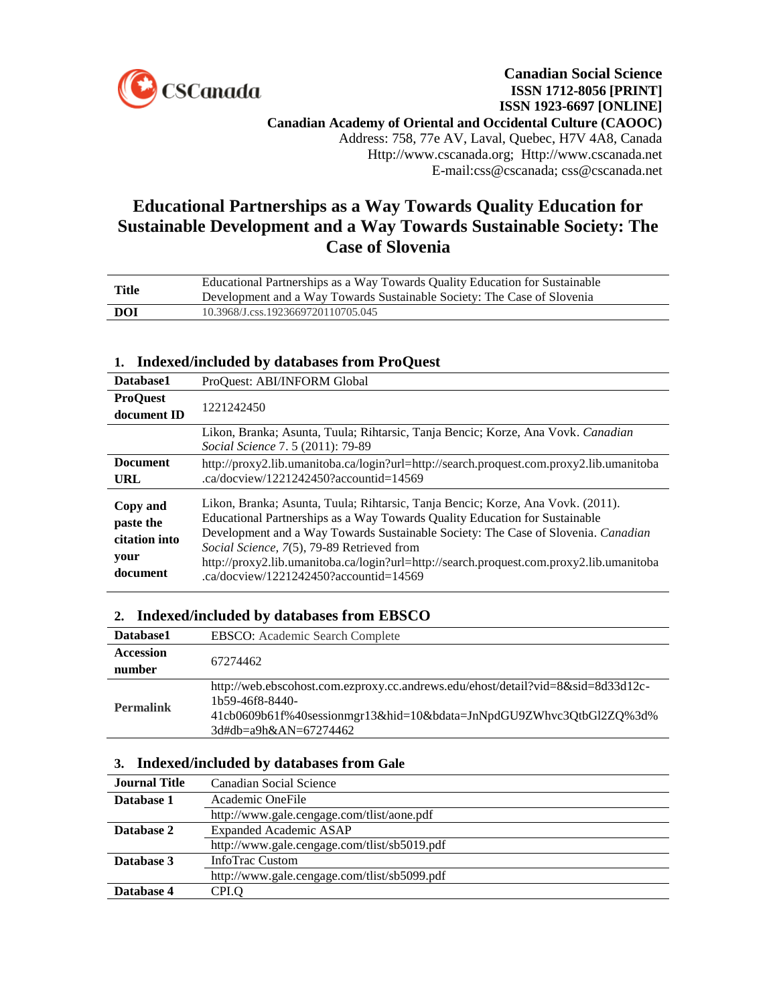

# **Educational Partnerships as a Way Towards Quality Education for Sustainable Development and a Way Towards Sustainable Society: The Case of Slovenia**

| <b>Title</b> | Educational Partnerships as a Way Towards Quality Education for Sustainable<br>Development and a Way Towards Sustainable Society: The Case of Slovenia |
|--------------|--------------------------------------------------------------------------------------------------------------------------------------------------------|
| DOI          | 10.3968/J.css.1923669720110705.045                                                                                                                     |
|              |                                                                                                                                                        |

## **1. Indexed/included by databases from ProQuest**

| Database1                                                  | ProQuest: ABI/INFORM Global                                                                                                                                                                                                                                                                                                                                                                                                             |
|------------------------------------------------------------|-----------------------------------------------------------------------------------------------------------------------------------------------------------------------------------------------------------------------------------------------------------------------------------------------------------------------------------------------------------------------------------------------------------------------------------------|
| <b>ProOuest</b><br>document ID                             | 1221242450                                                                                                                                                                                                                                                                                                                                                                                                                              |
|                                                            | Likon, Branka; Asunta, Tuula; Rihtarsic, Tanja Bencic; Korze, Ana Vovk. Canadian<br>Social Science 7.5 (2011): 79-89                                                                                                                                                                                                                                                                                                                    |
| <b>Document</b><br>URL                                     | http://proxy2.lib.umanitoba.ca/login?url=http://search.proquest.com.proxy2.lib.umanitoba<br>.ca/docyjew/1221242450?accountid=14569                                                                                                                                                                                                                                                                                                      |
| Copy and<br>paste the<br>citation into<br>your<br>document | Likon, Branka; Asunta, Tuula; Rihtarsic, Tanja Bencic; Korze, Ana Vovk. (2011).<br>Educational Partnerships as a Way Towards Quality Education for Sustainable<br>Development and a Way Towards Sustainable Society: The Case of Slovenia. Canadian<br>Social Science, 7(5), 79-89 Retrieved from<br>http://proxy2.lib.umanitoba.ca/login?url=http://search.proquest.com.proxy2.lib.umanitoba<br>.ca/docyiew/1221242450?accountid=14569 |

### **2. Indexed/included by databases from EBSCO**

| Database1        | EBSCO: Academic Search Complete                                                                                                                                                                     |
|------------------|-----------------------------------------------------------------------------------------------------------------------------------------------------------------------------------------------------|
| <b>Accession</b> | 67274462                                                                                                                                                                                            |
| number           |                                                                                                                                                                                                     |
| <b>Permalink</b> | http://web.ebscohost.com.ezproxy.cc.andrews.edu/ehost/detail?vid=8&sid=8d33d12c-<br>1b59-46f8-8440-<br>41cb0609b61f%40sessionmgr13&hid=10&bdata=JnNpdGU9ZWhvc3QtbGl2ZQ%3d%<br>3d#db=a9h&AN=67274462 |

### **3. Indexed/included by databases from Gale**

| <b>Journal Title</b> | Canadian Social Science                      |
|----------------------|----------------------------------------------|
| Database 1           | Academic OneFile                             |
|                      | http://www.gale.cengage.com/tlist/aone.pdf   |
| Database 2           | Expanded Academic ASAP                       |
|                      | http://www.gale.cengage.com/tlist/sb5019.pdf |
| Database 3           | InfoTrac Custom                              |
|                      | http://www.gale.cengage.com/tlist/sb5099.pdf |
| Database 4           | CPI.O                                        |